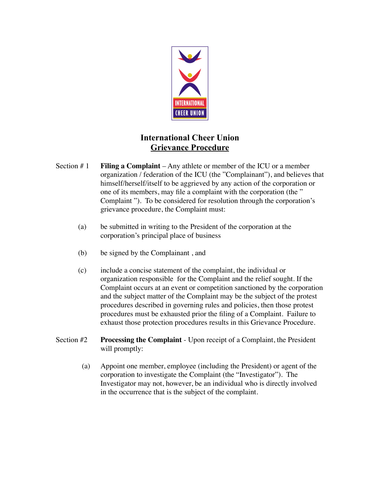

## **International Cheer Union Grievance Procedure**

- Section  $# 1$  **Filing a Complaint** Any athlete or member of the ICU or a member organization / federation of the ICU (the "Complainant"), and believes that himself/herself/itself to be aggrieved by any action of the corporation or one of its members, may file a complaint with the corporation (the " Complaint "). To be considered for resolution through the corporation's grievance procedure, the Complaint must:
	- (a) be submitted in writing to the President of the corporation at the corporation's principal place of business
	- (b) be signed by the Complainant , and
	- (c) include a concise statement of the complaint, the individual or organization responsible for the Complaint and the relief sought. If the Complaint occurs at an event or competition sanctioned by the corporation and the subject matter of the Complaint may be the subject of the protest procedures described in governing rules and policies, then those protest procedures must be exhausted prior the filing of a Complaint. Failure to exhaust those protection procedures results in this Grievance Procedure.
- Section #2 **Processing the Complaint** Upon receipt of a Complaint, the President will promptly:
	- (a) Appoint one member, employee (including the President) or agent of the corporation to investigate the Complaint (the "Investigator"). The Investigator may not, however, be an individual who is directly involved in the occurrence that is the subject of the complaint.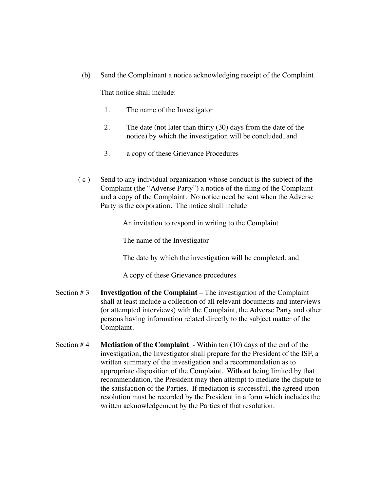(b) Send the Complainant a notice acknowledging receipt of the Complaint.

That notice shall include:

- 1. The name of the Investigator
- 2. The date (not later than thirty (30) days from the date of the notice) by which the investigation will be concluded, and
- 3. a copy of these Grievance Procedures
- $(c)$  Send to any individual organization whose conduct is the subject of the Complaint (the "Adverse Party") a notice of the filing of the Complaint and a copy of the Complaint. No notice need be sent when the Adverse Party is the corporation. The notice shall include

An invitation to respond in writing to the Complaint

The name of the Investigator

The date by which the investigation will be completed, and

A copy of these Grievance procedures

- Section # 3 **Investigation of the Complaint** The investigation of the Complaint shall at least include a collection of all relevant documents and interviews (or attempted interviews) with the Complaint, the Adverse Party and other persons having information related directly to the subject matter of the Complaint.
- Section # 4 **Mediation of the Complaint** Within ten (10) days of the end of the investigation, the Investigator shall prepare for the President of the ISF, a written summary of the investigation and a recommendation as to appropriate disposition of the Complaint. Without being limited by that recommendation, the President may then attempt to mediate the dispute to the satisfaction of the Parties. If mediation is successful, the agreed upon resolution must be recorded by the President in a form which includes the written acknowledgement by the Parties of that resolution.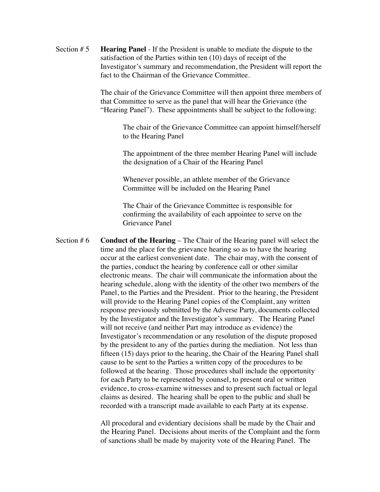Section # 5 **Hearing Panel** - If the President is unable to mediate the dispute to the satisfaction of the Parties within ten (10) days of receipt of the Investigator's summary and recommendation, the President will report the fact to the Chairman of the Grievance Committee.

> The chair of the Grievance Committee will then appoint three members of that Committee to serve as the panel that will hear the Grievance (the "Hearing Panel"). These appointments shall be subject to the following:

> > The chair of the Grievance Committee can appoint himself/herself to the Hearing Panel

The appointment of the three member Hearing Panel will include the designation of a Chair of the Hearing Panel

Whenever possible, an athlete member of the Grievance Committee will be included on the Hearing Panel

The Chair of the Grievance Committee is responsible for confirming the availability of each appointee to serve on the Grievance Panel

Section # 6 **Conduct of the Hearing** – The Chair of the Hearing panel will select the time and the place for the grievance hearing so as to have the hearing occur at the earliest convenient date. The chair may, with the consent of the parties, conduct the hearing by conference call or other similar electronic means. The chair will communicate the information about the hearing schedule, along with the identity of the other two members of the Panel, to the Parties and the President. Prior to the hearing, the President will provide to the Hearing Panel copies of the Complaint, any written response previously submitted by the Adverse Party, documents collected by the Investigator and the Investigator's summary. The Hearing Panel will not receive (and neither Part may introduce as evidence) the Investigator's recommendation or any resolution of the dispute proposed by the president to any of the parties during the mediation. Not less than fifteen (15) days prior to the hearing, the Chair of the Hearing Panel shall cause to be sent to the Parties a written copy of the procedures to be followed at the hearing. Those procedures shall include the opportunity for each Party to be represented by counsel, to present oral or written evidence, to cross-examine witnesses and to present such factual or legal claims as desired. The hearing shall be open to the public and shall be recorded with a transcript made available to each Party at its expense.

> All procedural and evidentiary decisions shall be made by the Chair and the Hearing Panel. Decisions about merits of the Complaint and the form of sanctions shall be made by majority vote of the Hearing Panel. The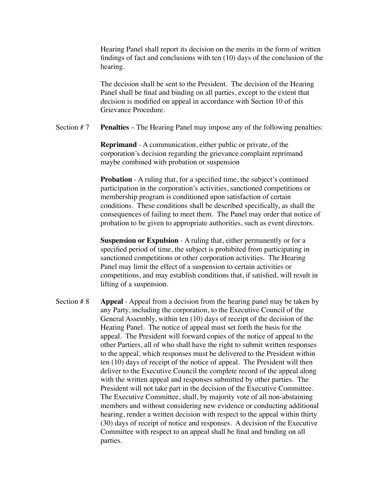Hearing Panel shall report its decision on the merits in the form of written findings of fact and conclusions with ten (10) days of the conclusion of the hearing.

The decision shall be sent to the President. The decision of the Hearing Panel shall be final and binding on all parties, except to the extent that decision is modified on appeal in accordance with Section 10 of this Grievance Procedure.

Section # 7 **Penalties** – The Hearing Panel may impose any of the following penalties:

**Reprimand** - A communication, either public or private, of the corporation's decision regarding the grievance complaint reprimand maybe combined with probation or suspension

**Probation** - A ruling that, for a specified time, the subject's continued participation in the corporation's activities, sanctioned competitions or membership program is conditioned upon satisfaction of certain conditions. These conditions shall be described specifically, as shall the consequences of failing to meet them. The Panel may order that notice of probation to be given to appropriate authorities, such as event directors.

**Suspension or Expulsion** - A ruling that, either permanently or for a specified period of time, the subject is prohibited from participating in sanctioned competitions or other corporation activities. The Hearing Panel may limit the effect of a suspension to certain activities or competitions, and may establish conditions that, if satisfied, will result in lifting of a suspension.

Section # 8 **Appeal** - Appeal from a decision from the hearing panel may be taken by any Party, including the corporation, to the Executive Council of the General Assembly, within ten (10) days of receipt of the decision of the Hearing Panel. The notice of appeal must set forth the basis for the appeal. The President will forward copies of the notice of appeal to the other Partiers, all of who shall have the right to submit written responses to the appeal, which responses must be delivered to the President within ten (10) days of receipt of the notice of appeal. The President will then deliver to the Executive Council the complete record of the appeal along with the written appeal and responses submitted by other parties. The President will not take part in the decision of the Executive Committee. The Executive Committee, shall, by majority vote of all non-abstaining members and without considering new evidence or conducting additional hearing, render a written decision with respect to the appeal within thirty (30) days of receipt of notice and responses. A decision of the Executive Committee with respect to an appeal shall be final and binding on all parties.